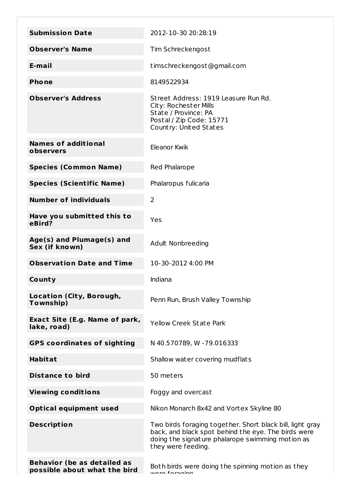| <b>Submission Date</b>                                             | 2012-10-30 20:28:19                                                                                                                                                                        |
|--------------------------------------------------------------------|--------------------------------------------------------------------------------------------------------------------------------------------------------------------------------------------|
| <b>Observer's Name</b>                                             | Tim Schreckengost                                                                                                                                                                          |
| E-mail                                                             |                                                                                                                                                                                            |
|                                                                    | timschreckengost@gmail.com                                                                                                                                                                 |
| <b>Phone</b>                                                       | 8149522934                                                                                                                                                                                 |
| <b>Observer's Address</b>                                          | Street Address: 1919 Leasure Run Rd.<br>City: Rochester Mills<br>State / Province: PA<br>Postal / Zip Code: 15771<br>Country: United States                                                |
| <b>Names of additional</b><br>observers                            | Eleanor Kwik                                                                                                                                                                               |
| <b>Species (Common Name)</b>                                       | Red Phalarope                                                                                                                                                                              |
| <b>Species (Scientific Name)</b>                                   | Phalaropus fulicaria                                                                                                                                                                       |
| <b>Number of individuals</b>                                       | 2                                                                                                                                                                                          |
| Have you submitted this to<br>eBird?                               | Yes                                                                                                                                                                                        |
| Age(s) and Plumage(s) and<br>Sex (if known)                        | Adult Nonbreeding                                                                                                                                                                          |
| <b>Observation Date and Time</b>                                   | 10-30-2012 4:00 PM                                                                                                                                                                         |
| County                                                             | Indiana                                                                                                                                                                                    |
| Location (City, Borough,<br>Township)                              | Penn Run, Brush Valley Township                                                                                                                                                            |
| Exact Site (E.g. Name of park,<br>lake, road)                      | <b>Yellow Creek State Park</b>                                                                                                                                                             |
| <b>GPS coordinates of sighting</b>                                 | N 40.570789, W -79.016333                                                                                                                                                                  |
| <b>Habitat</b>                                                     | Shallow water covering mudflats                                                                                                                                                            |
| <b>Distance to bird</b>                                            | 50 meters                                                                                                                                                                                  |
| <b>Viewing conditions</b>                                          | Foggy and overcast                                                                                                                                                                         |
| <b>Optical equipment used</b>                                      | Nikon Monarch 8x42 and Vortex Skyline 80                                                                                                                                                   |
| <b>Description</b>                                                 | Two birds foraging together. Short black bill, light gray<br>back, and black spot behind the eye. The birds were<br>doing the signature phalarope swimming motion as<br>they were feeding. |
| <b>Behavior (be as detailed as</b><br>possible about what the bird | Both birds were doing the spinning motion as they<br>wara faraging                                                                                                                         |